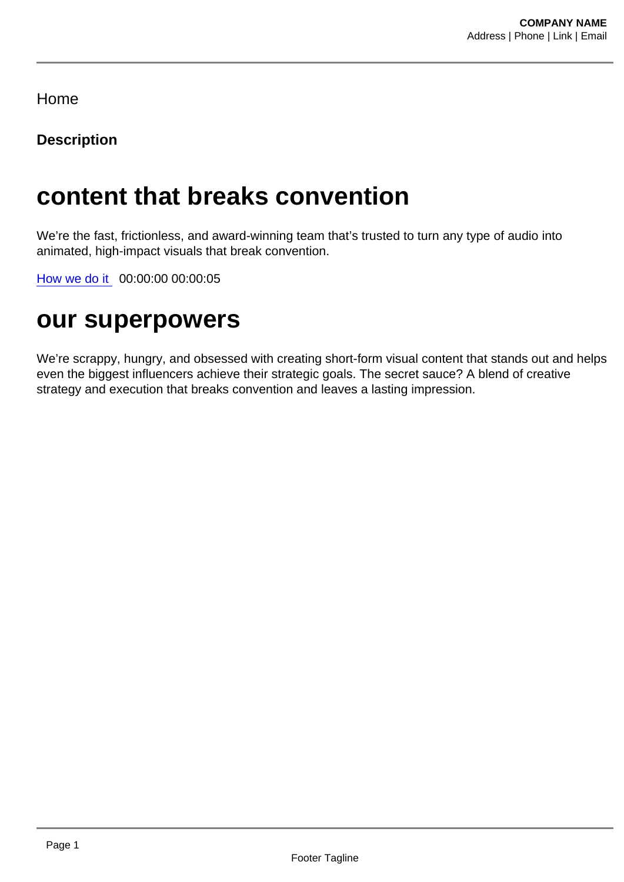Home

**Description** 

# content that breaks convention

We're the fast, frictionless, and award-winning team that's trusted to turn any type of audio into animated, high-impact visuals that break convention.

How we do it 00:00:00 00:00:05

### our superpowers

We're scrappy, hungry, and obsessed with creating short-form visual content that stands out and helps even the biggest influencers achieve their strategic goals. The secret sauce? A blend of creative strategy and execution that breaks convention and leaves a lasting impression.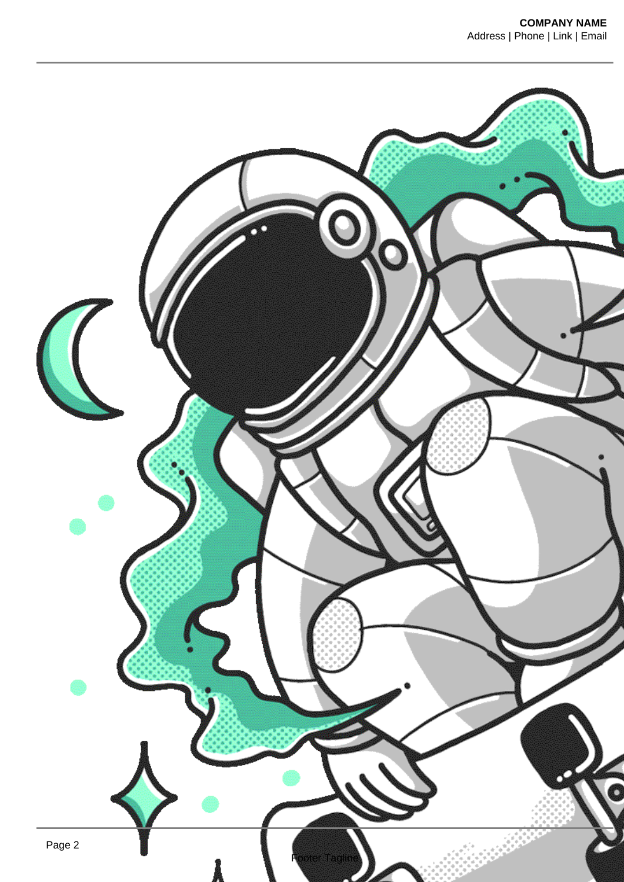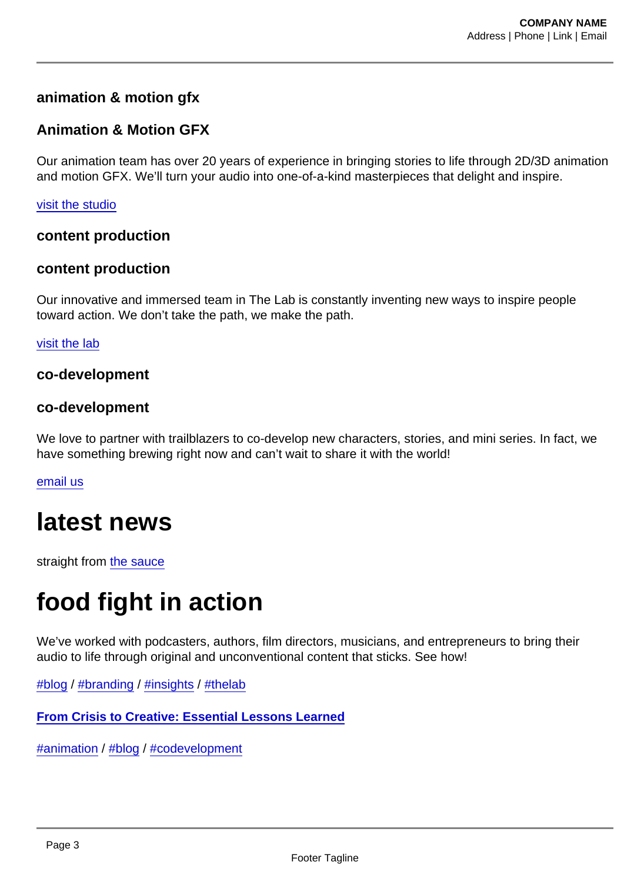### animation & motion gfx

### Animation & Motion GFX

Our animation team has over 20 years of experience in bringing stories to life through 2D/3D animation and motion GFX. We'll turn your audio into one-of-a-kind masterpieces that delight and inspire.

[visit the studio](https://foodfightstudios.com/the-studio-animation-services/)

content production

content production

Our innovative and immersed team in The Lab is constantly inventing new ways to inspire people toward action. We don't take the path, we make the path.

#### [visit the lab](https://foodfightstudios.com/the-lab/)

co-development

co-development

We love to partner with trailblazers to co-develop new characters, stories, and mini series. In fact, we have something brewing right now and can't wait to share it with the world!

#### [email us](mailto:info@foodfightstudios.com)

## latest news

straight from [the sauce](https://foodfightstudios.com/the-sauce/)

# food fight in action

We've worked with podcasters, authors, film directors, musicians, and entrepreneurs to bring their audio to life through original and unconventional content that sticks. See how!

[#blog](https://foodfightstudios.com/category/blog/) / [#branding](https://foodfightstudios.com/category/branding/) / [#insights](https://foodfightstudios.com/category/insights/) / [#thelab](https://foodfightstudios.com/category/blog/thelab/)

[From Crisis to Creative: Essential Lessons Learned](https://foodfightstudios.com/from-crisis-to-creative-everything-we-learned-in-unpredictable-times/)

[#animation](https://foodfightstudios.com/category/animation/) / [#blog](https://foodfightstudios.com/category/blog/) / [#codevelopment](https://foodfightstudios.com/category/co-development/)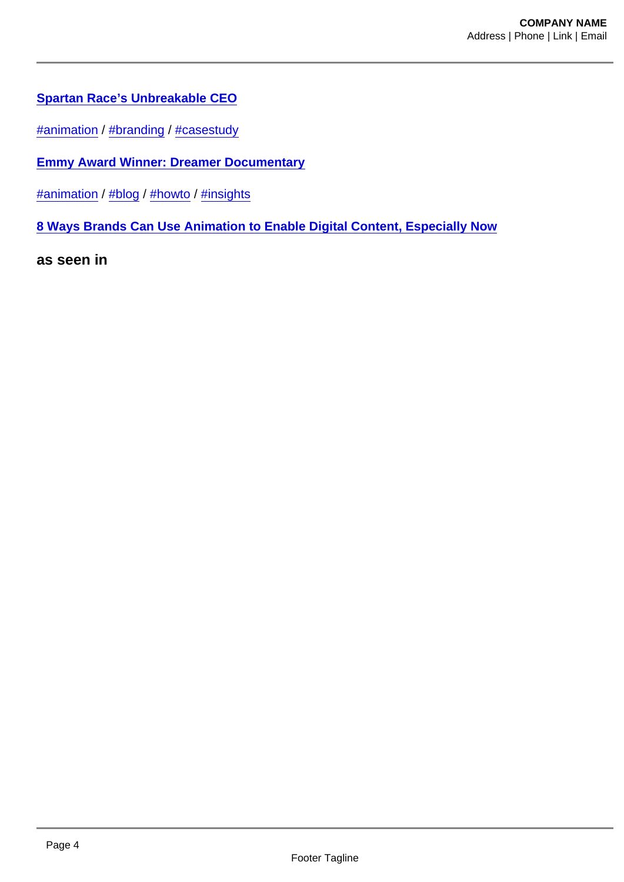[Spartan Race's Unbreakable CEO](https://foodfightstudios.com/spartan-race-unbreakable-ceo/)

[#animation](https://foodfightstudios.com/category/animation/) / [#branding](https://foodfightstudios.com/category/branding/) / [#casestudy](https://foodfightstudios.com/category/case-study/)

[Emmy Award Winner: Dreamer Documentary](https://foodfightstudios.com/brand-work-dreamer-documentary/)

[#animation](https://foodfightstudios.com/category/animation/) / [#blog](https://foodfightstudios.com/category/blog/) / [#howto](https://foodfightstudios.com/category/how-to/) / [#insights](https://foodfightstudios.com/category/insights/)

[8 Ways Brands Can Use Animation to Enable Digital Content, Especially Now](https://foodfightstudios.com/8-ways-brand-can-use-animation-for-digital-content/)

as seen in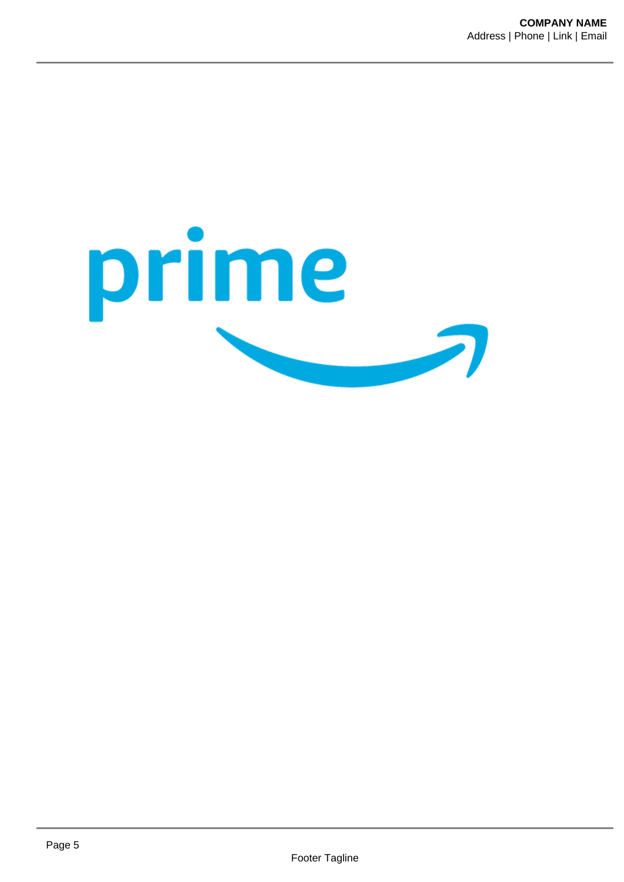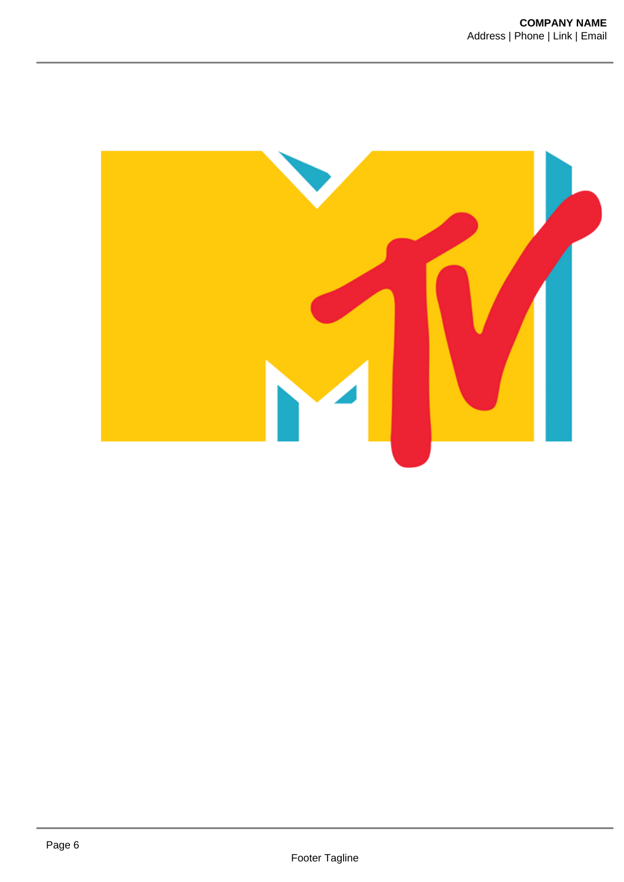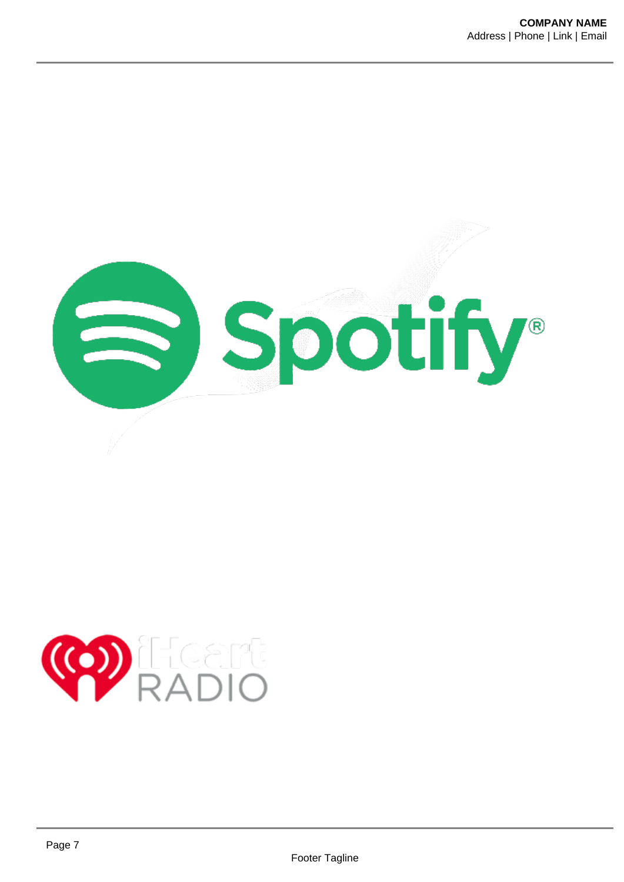

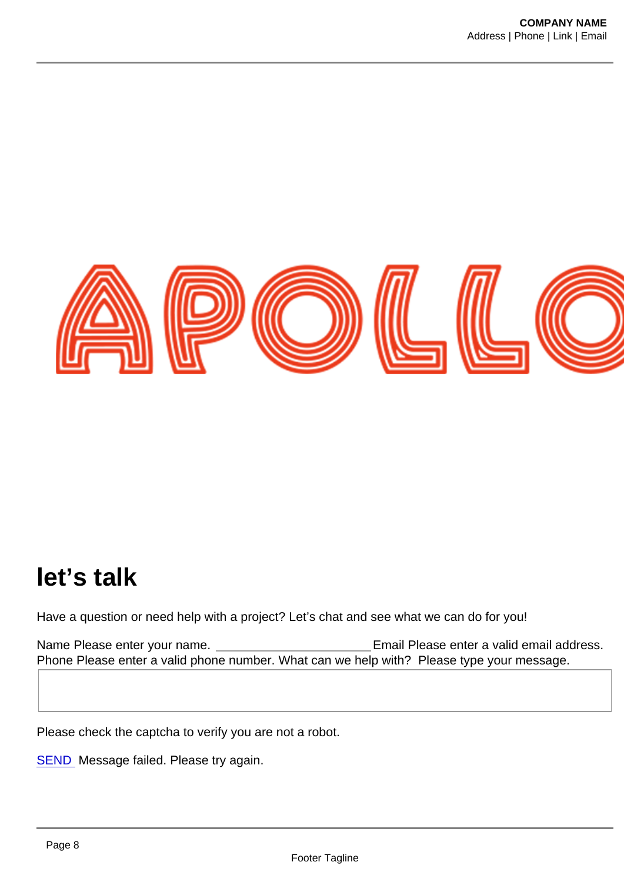

# **let's talk**

Have a question or need help with a project? Let's chat and see what we can do for you!

Name Please enter your name. \_\_\_\_\_\_\_\_\_\_\_\_\_\_\_\_\_\_\_\_\_\_\_\_\_\_\_\_\_\_\_Email Please enter a valid email address. Phone Please enter a valid phone number. What can we help with? Please type your message.

Please check the captcha to verify you are not a robot.

SEND Message failed. Please try again.